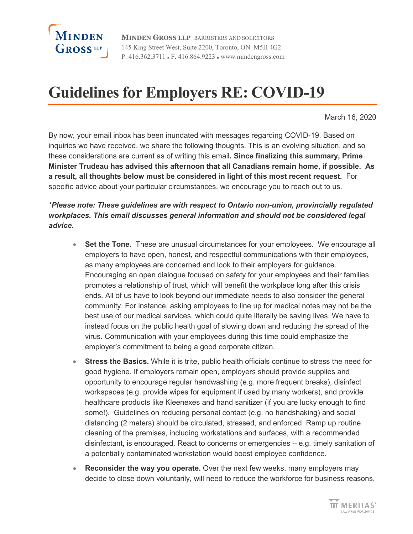

**MINDEN GROSS LLP** BARRISTERS AND SOLICITORS 145 King Street West, Suite 2200, Toronto, ON M5H 4G2 P. 416.362.3711 F. 416.864.9223 www.mindengross.com

## **Guidelines for Employers RE: COVID-19**

March 16, 2020

By now, your email inbox has been inundated with messages regarding COVID-19. Based on inquiries we have received, we share the following thoughts. This is an evolving situation, and so these considerations are current as of writing this email**. Since finalizing this summary, Prime Minister Trudeau has advised this afternoon that all Canadians remain home, if possible. As a result, all thoughts below must be considered in light of this most recent request.** For specific advice about your particular circumstances, we encourage you to reach out to us.

## *\*Please note: These guidelines are with respect to Ontario non-union, provincially regulated workplaces. This email discusses general information and should not be considered legal advice.*

- **Set the Tone.** These are unusual circumstances for your employees. We encourage all employers to have open, honest, and respectful communications with their employees, as many employees are concerned and look to their employers for guidance. Encouraging an open dialogue focused on safety for your employees and their families promotes a relationship of trust, which will benefit the workplace long after this crisis ends. All of us have to look beyond our immediate needs to also consider the general community. For instance, asking employees to line up for medical notes may not be the best use of our medical services, which could quite literally be saving lives. We have to instead focus on the public health goal of slowing down and reducing the spread of the virus. Communication with your employees during this time could emphasize the employer's commitment to being a good corporate citizen.
- **Stress the Basics.** While it is trite, public health officials continue to stress the need for good hygiene. If employers remain open, employers should provide supplies and opportunity to encourage regular handwashing (e.g. more frequent breaks), disinfect workspaces (e.g. provide wipes for equipment if used by many workers), and provide healthcare products like Kleenexes and hand sanitizer (if you are lucky enough to find some!). Guidelines on reducing personal contact (e.g. no handshaking) and social distancing (2 meters) should be circulated, stressed, and enforced. Ramp up routine cleaning of the premises, including workstations and surfaces, with a recommended disinfectant, is encouraged. React to concerns or emergencies – e.g. timely sanitation of a potentially contaminated workstation would boost employee confidence.
- **Reconsider the way you operate.** Over the next few weeks, many employers may decide to close down voluntarily, will need to reduce the workforce for business reasons,

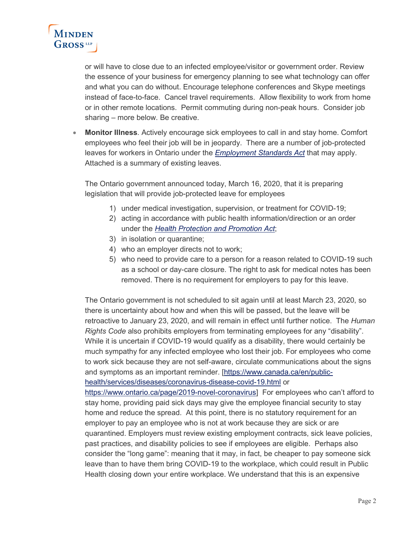

or will have to close due to an infected employee/visitor or government order. Review the essence of your business for emergency planning to see what technology can offer and what you can do without. Encourage telephone conferences and Skype meetings instead of face-to-face. Cancel travel requirements. Allow flexibility to work from home or in other remote locations. Permit commuting during non-peak hours. Consider job sharing – more below. Be creative.

• **Monitor Illness**. Actively encourage sick employees to call in and stay home. Comfort employees who feel their job will be in jeopardy. There are a number of job-protected leaves for workers in Ontario under the *[Employment Standards Act](https://www.ontario.ca/laws/statute/00e41)* that may apply. Attached is a summary of existing leaves.

The Ontario government announced today, March 16, 2020, that it is preparing legislation that will provide job-protected leave for employees

- 1) under medical investigation, supervision, or treatment for COVID-19;
- 2) acting in accordance with public health information/direction or an order under the *[Health Protection and Promotion Act](https://www.ontario.ca/laws/statute/90h07)*;
- 3) in isolation or quarantine;
- 4) who an employer directs not to work;
- 5) who need to provide care to a person for a reason related to COVID-19 such as a school or day-care closure. The right to ask for medical notes has been removed. There is no requirement for employers to pay for this leave.

The Ontario government is not scheduled to sit again until at least March 23, 2020, so there is uncertainty about how and when this will be passed, but the leave will be retroactive to January 23, 2020, and will remain in effect until further notice. The *Human Rights Code* also prohibits employers from terminating employees for any "disability". While it is uncertain if COVID-19 would qualify as a disability, there would certainly be much sympathy for any infected employee who lost their job. For employees who come to work sick because they are not self-aware, circulate communications about the signs and symptoms as an important reminder. [\[https://www.canada.ca/en/public](https://www.canada.ca/en/public-health/services/diseases/coronavirus-disease-covid-19.html)[health/services/diseases/coronavirus-disease-covid-19.html](https://www.canada.ca/en/public-health/services/diseases/coronavirus-disease-covid-19.html) or

[https://www.ontario.ca/page/2019-novel-coronavirus\]](https://www.ontario.ca/page/2019-novel-coronavirus) For employees who can't afford to stay home, providing paid sick days may give the employee financial security to stay home and reduce the spread. At this point, there is no statutory requirement for an employer to pay an employee who is not at work because they are sick or are quarantined. Employers must review existing employment contracts, sick leave policies, past practices, and disability policies to see if employees are eligible. Perhaps also consider the "long game": meaning that it may, in fact, be cheaper to pay someone sick leave than to have them bring COVID-19 to the workplace, which could result in Public Health closing down your entire workplace. We understand that this is an expensive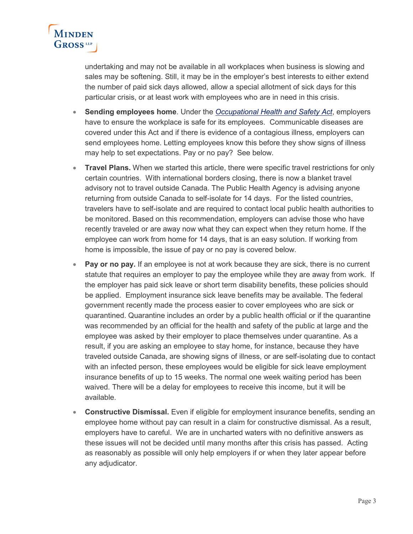

undertaking and may not be available in all workplaces when business is slowing and sales may be softening. Still, it may be in the employer's best interests to either extend the number of paid sick days allowed, allow a special allotment of sick days for this particular crisis, or at least work with employees who are in need in this crisis.

- **Sending employees home**. Under the *[Occupational Health and Safety Act](https://www.ontario.ca/laws/statute/90o01)*, employers have to ensure the workplace is safe for its employees. Communicable diseases are covered under this Act and if there is evidence of a contagious illness, employers can send employees home. Letting employees know this before they show signs of illness may help to set expectations. Pay or no pay? See below.
- **Travel Plans.** When we started this article, there were specific travel restrictions for only certain countries. With international borders closing, there is now a blanket travel advisory not to travel outside Canada. The Public Health Agency is advising anyone returning from outside Canada to self-isolate for 14 days. For the listed countries, travelers have to self-isolate and are required to contact local public health authorities to be monitored. Based on this recommendation, employers can advise those who have recently traveled or are away now what they can expect when they return home. If the employee can work from home for 14 days, that is an easy solution. If working from home is impossible, the issue of pay or no pay is covered below.
- **Pay or no pay.** If an employee is not at work because they are sick, there is no current statute that requires an employer to pay the employee while they are away from work. If the employer has paid sick leave or short term disability benefits, these policies should be applied. Employment insurance sick leave benefits may be available. The federal government recently made the process easier to cover employees who are sick or quarantined. Quarantine includes an order by a public health official or if the quarantine was recommended by an official for the health and safety of the public at large and the employee was asked by their employer to place themselves under quarantine. As a result, if you are asking an employee to stay home, for instance, because they have traveled outside Canada, are showing signs of illness, or are self-isolating due to contact with an infected person, these employees would be eligible for sick leave employment insurance benefits of up to 15 weeks. The normal one week waiting period has been waived. There will be a delay for employees to receive this income, but it will be available.
- **Constructive Dismissal.** Even if eligible for employment insurance benefits, sending an employee home without pay can result in a claim for constructive dismissal. As a result, employers have to careful. We are in uncharted waters with no definitive answers as these issues will not be decided until many months after this crisis has passed. Acting as reasonably as possible will only help employers if or when they later appear before any adjudicator.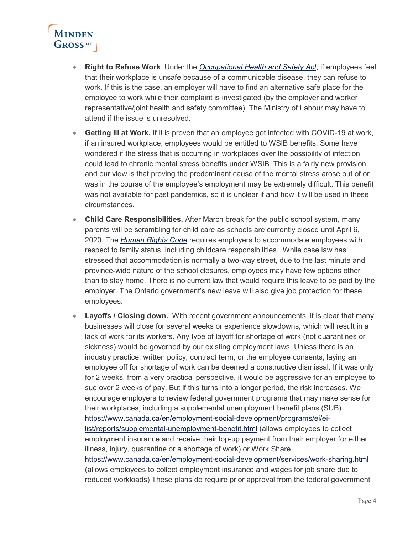

- **Right to Refuse Work**. Under the *[Occupational Health and Safety Act](https://www.ontario.ca/laws/statute/90o01)*, if employees feel that their workplace is unsafe because of a communicable disease, they can refuse to work. If this is the case, an employer will have to find an alternative safe place for the employee to work while their complaint is investigated (by the employer and worker representative/joint health and safety committee). The Ministry of Labour may have to attend if the issue is unresolved.
- **Getting Ill at Work.** If it is proven that an employee got infected with COVID-19 at work, if an insured workplace, employees would be entitled to WSIB benefits. Some have wondered if the stress that is occurring in workplaces over the possibility of infection could lead to chronic mental stress benefits under WSIB. This is a fairly new provision and our view is that proving the predominant cause of the mental stress arose out of or was in the course of the employee's employment may be extremely difficult. This benefit was not available for past pandemics, so it is unclear if and how it will be used in these circumstances.
- **Child Care Responsibilities.** After March break for the public school system, many parents will be scrambling for child care as schools are currently closed until April 6, 2020. The *[Human Rights Code](https://www.ontario.ca/laws/statute/90h19)* requires employers to accommodate employees with respect to family status, including childcare responsibilities. While case law has stressed that accommodation is normally a two-way street, due to the last minute and province-wide nature of the school closures, employees may have few options other than to stay home. There is no current law that would require this leave to be paid by the employer. The Ontario government's new leave will also give job protection for these employees.
- Layoffs / Closing down. With recent government announcements, it is clear that many businesses will close for several weeks or experience slowdowns, which will result in a lack of work for its workers. Any type of layoff for shortage of work (not quarantines or sickness) would be governed by our existing employment laws. Unless there is an industry practice, written policy, contract term, or the employee consents, laying an employee off for shortage of work can be deemed a constructive dismissal. If it was only for 2 weeks, from a very practical perspective, it would be aggressive for an employee to sue over 2 weeks of pay. But if this turns into a longer period, the risk increases. We encourage employers to review federal government programs that may make sense for their workplaces, including a supplemental unemployment benefit plans (SUB) [https://www.canada.ca/en/employment-social-development/programs/ei/ei](https://www.canada.ca/en/employment-social-development/programs/ei/ei-list/reports/supplemental-unemployment-benefit.html)[list/reports/supplemental-unemployment-benefit.html](https://www.canada.ca/en/employment-social-development/programs/ei/ei-list/reports/supplemental-unemployment-benefit.html) (allows employees to collect employment insurance and receive their top-up payment from their employer for either illness, injury, quarantine or a shortage of work) or Work Share <https://www.canada.ca/en/employment-social-development/services/work-sharing.html> (allows employees to collect employment insurance and wages for job share due to reduced workloads) These plans do require prior approval from the federal government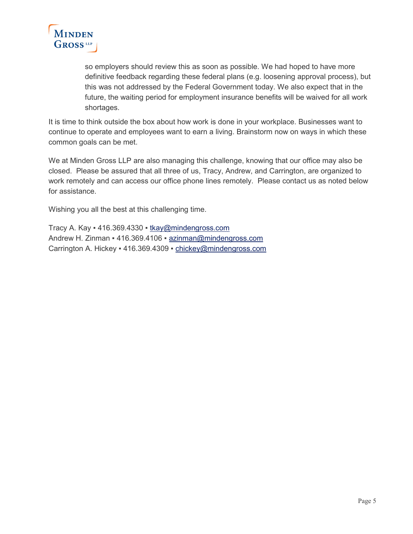

so employers should review this as soon as possible. We had hoped to have more definitive feedback regarding these federal plans (e.g. loosening approval process), but this was not addressed by the Federal Government today. We also expect that in the future, the waiting period for employment insurance benefits will be waived for all work shortages.

It is time to think outside the box about how work is done in your workplace. Businesses want to continue to operate and employees want to earn a living. Brainstorm now on ways in which these common goals can be met.

We at Minden Gross LLP are also managing this challenge, knowing that our office may also be closed. Please be assured that all three of us, Tracy, Andrew, and Carrington, are organized to work remotely and can access our office phone lines remotely. Please contact us as noted below for assistance.

Wishing you all the best at this challenging time.

Tracy A. Kay = 416.369.4330 = [tkay@mindengross.com](mailto:tkay@mindengross.com) Andrew H. Zinman · 416.369.4106 · [azinman@mindengross.com](mailto:azinman@mindengross.com) Carrington A. Hickey . 416.369.4309 . [chickey@mindengross.com](mailto:chickey@mindengross.com)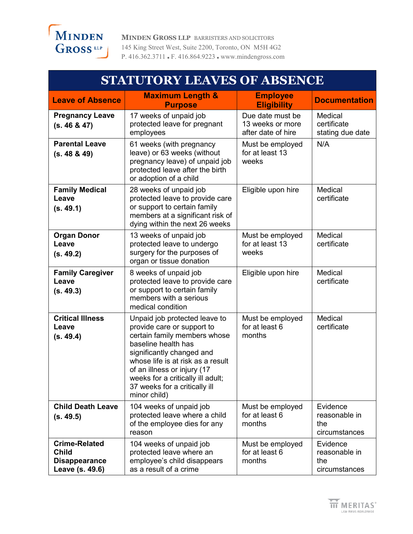

**MINDEN GROSS LLP** BARRISTERS AND SOLICITORS 145 King Street West, Suite 2200, Toronto, ON M5H 4G2 P. 416.362.3711 F. 416.864.9223 www.mindengross.com

| <b>STATUTORY LEAVES OF ABSENCE</b>                                              |                                                                                                                                                                                                                                                                                                           |                                                            |                                                   |  |
|---------------------------------------------------------------------------------|-----------------------------------------------------------------------------------------------------------------------------------------------------------------------------------------------------------------------------------------------------------------------------------------------------------|------------------------------------------------------------|---------------------------------------------------|--|
| <b>Leave of Absence</b>                                                         | <b>Maximum Length &amp;</b><br><b>Purpose</b>                                                                                                                                                                                                                                                             | <b>Employee</b><br><b>Eligibility</b>                      | <b>Documentation</b>                              |  |
| <b>Pregnancy Leave</b><br>(s. 46 & 47)                                          | 17 weeks of unpaid job<br>protected leave for pregnant<br>employees                                                                                                                                                                                                                                       | Due date must be<br>13 weeks or more<br>after date of hire | Medical<br>certificate<br>stating due date        |  |
| <b>Parental Leave</b><br>(s. 48 & 49)                                           | 61 weeks (with pregnancy<br>leave) or 63 weeks (without<br>pregnancy leave) of unpaid job<br>protected leave after the birth<br>or adoption of a child                                                                                                                                                    | Must be employed<br>for at least 13<br>weeks               | N/A                                               |  |
| <b>Family Medical</b><br>Leave<br>(s. 49.1)                                     | 28 weeks of unpaid job<br>protected leave to provide care<br>or support to certain family<br>members at a significant risk of<br>dying within the next 26 weeks                                                                                                                                           | Eligible upon hire                                         | Medical<br>certificate                            |  |
| <b>Organ Donor</b><br>Leave<br>(s. 49.2)                                        | 13 weeks of unpaid job<br>protected leave to undergo<br>surgery for the purposes of<br>organ or tissue donation                                                                                                                                                                                           | Must be employed<br>for at least 13<br>weeks               | Medical<br>certificate                            |  |
| <b>Family Caregiver</b><br>Leave<br>(s. 49.3)                                   | 8 weeks of unpaid job<br>protected leave to provide care<br>or support to certain family<br>members with a serious<br>medical condition                                                                                                                                                                   | Eligible upon hire                                         | Medical<br>certificate                            |  |
| <b>Critical Illness</b><br>Leave<br>(s. 49.4)                                   | Unpaid job protected leave to<br>provide care or support to<br>certain family members whose<br>baseline health has<br>significantly changed and<br>whose life is at risk as a result<br>of an illness or injury (17<br>weeks for a critically ill adult;<br>37 weeks for a critically ill<br>minor child) | Must be employed<br>for at least 6<br>months               | Medical<br>certificate                            |  |
| <b>Child Death Leave</b><br>(s. 49.5)                                           | 104 weeks of unpaid job<br>protected leave where a child<br>of the employee dies for any<br>reason                                                                                                                                                                                                        | Must be employed<br>for at least 6<br>months               | Evidence<br>reasonable in<br>the<br>circumstances |  |
| <b>Crime-Related</b><br><b>Child</b><br><b>Disappearance</b><br>Leave (s. 49.6) | 104 weeks of unpaid job<br>protected leave where an<br>employee's child disappears<br>as a result of a crime                                                                                                                                                                                              | Must be employed<br>for at least 6<br>months               | Evidence<br>reasonable in<br>the<br>circumstances |  |